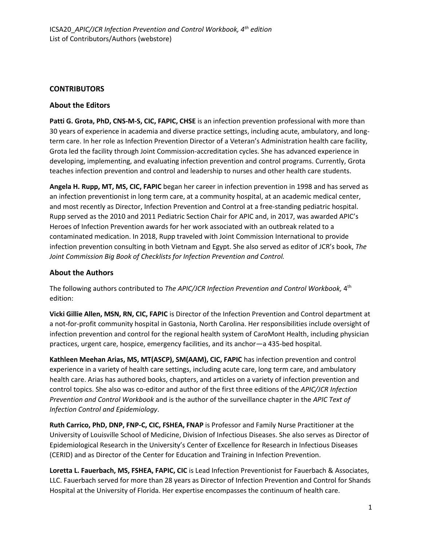## **CONTRIBUTORS**

## **About the Editors**

**Patti G. Grota, PhD, CNS-M-S, CIC, FAPIC, CHSE** is an infection prevention professional with more than 30 years of experience in academia and diverse practice settings, including acute, ambulatory, and longterm care. In her role as Infection Prevention Director of a Veteran's Administration health care facility, Grota led the facility through Joint Commission-accreditation cycles. She has advanced experience in developing, implementing, and evaluating infection prevention and control programs. Currently, Grota teaches infection prevention and control and leadership to nurses and other health care students.

**Angela H. Rupp, MT, MS, CIC, FAPIC** began her career in infection prevention in 1998 and has served as an infection preventionist in long term care, at a community hospital, at an academic medical center, and most recently as Director, Infection Prevention and Control at a free-standing pediatric hospital. Rupp served as the 2010 and 2011 Pediatric Section Chair for APIC and, in 2017, was awarded APIC's Heroes of Infection Prevention awards for her work associated with an outbreak related to a contaminated medication. In 2018, Rupp traveled with Joint Commission International to provide infection prevention consulting in both Vietnam and Egypt. She also served as editor of JCR's book, *The Joint Commission Big Book of Checklists for Infection Prevention and Control.* 

## **About the Authors**

The following authors contributed to *The APIC/JCR Infection Prevention and Control Workbook,* 4<sup>th</sup> edition:

**Vicki Gillie Allen, MSN, RN, CIC, FAPIC** is Director of the Infection Prevention and Control department at a not-for-profit community hospital in Gastonia, North Carolina. Her responsibilities include oversight of infection prevention and control for the regional health system of CaroMont Health, including physician practices, urgent care, hospice, emergency facilities, and its anchor—a 435-bed hospital.

**Kathleen Meehan Arias, MS, MT(ASCP), SM(AAM), CIC, FAPIC** has infection prevention and control experience in a variety of health care settings, including acute care, long term care, and ambulatory health care. Arias has authored books, chapters, and articles on a variety of infection prevention and control topics. She also was co-editor and author of the first three editions of the *APIC/JCR Infection Prevention and Control Workbook* and is the author of the surveillance chapter in the *APIC Text of Infection Control and Epidemiology*.

**Ruth Carrico, PhD, DNP, FNP-C, CIC, FSHEA, FNAP** is Professor and Family Nurse Practitioner at the University of Louisville School of Medicine, Division of Infectious Diseases. She also serves as Director of Epidemiological Research in the University's Center of Excellence for Research in Infectious Diseases (CERID) and as Director of the Center for Education and Training in Infection Prevention.

**Loretta L. Fauerbach, MS, FSHEA, FAPIC, CIC** is Lead Infection Preventionist for Fauerbach & Associates, LLC. Fauerbach served for more than 28 years as Director of Infection Prevention and Control for Shands Hospital at the University of Florida. Her expertise encompasses the continuum of health care.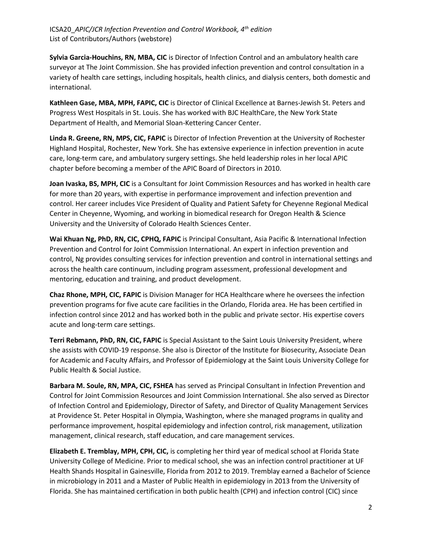**Sylvia Garcia-Houchins, RN, MBA, CIC** is Director of Infection Control and an ambulatory health care surveyor at The Joint Commission. She has provided infection prevention and control consultation in a variety of health care settings, including hospitals, health clinics, and dialysis centers, both domestic and international.

**Kathleen Gase, MBA, MPH, FAPIC, CIC** is Director of Clinical Excellence at Barnes-Jewish St. Peters and Progress West Hospitals in St. Louis. She has worked with BJC HealthCare, the New York State Department of Health, and Memorial Sloan-Kettering Cancer Center.

**Linda R. Greene, RN, MPS, CIC, FAPIC** is Director of Infection Prevention at the University of Rochester Highland Hospital, Rochester, New York. She has extensive experience in infection prevention in acute care, long-term care, and ambulatory surgery settings. She held leadership roles in her local APIC chapter before becoming a member of the APIC Board of Directors in 2010.

**Joan Ivaska, BS, MPH, CIC** is a Consultant for Joint Commission Resources and has worked in health care for more than 20 years, with expertise in performance improvement and infection prevention and control. Her career includes Vice President of Quality and Patient Safety for Cheyenne Regional Medical Center in Cheyenne, Wyoming, and working in biomedical research for Oregon Health & Science University and the University of Colorado Health Sciences Center.

**Wai Khuan Ng, PhD, RN, CIC, CPHQ, FAPIC** is Principal Consultant, Asia Pacific & International Infection Prevention and Control for Joint Commission International. An expert in infection prevention and control, Ng provides consulting services for infection prevention and control in international settings and across the health care continuum, including program assessment, professional development and mentoring, education and training, and product development.

**Chaz Rhone, MPH, CIC, FAPIC** is Division Manager for HCA Healthcare where he oversees the infection prevention programs for five acute care facilities in the Orlando, Florida area. He has been certified in infection control since 2012 and has worked both in the public and private sector. His expertise covers acute and long-term care settings.

**Terri Rebmann, PhD, RN, CIC, FAPIC** is Special Assistant to the Saint Louis University President, where she assists with COVID-19 response. She also is Director of the Institute for Biosecurity, Associate Dean for Academic and Faculty Affairs, and Professor of Epidemiology at the Saint Louis University College for Public Health & Social Justice.

**Barbara M. Soule, RN, MPA, CIC, FSHEA** has served as Principal Consultant in Infection Prevention and Control for Joint Commission Resources and Joint Commission International. She also served as Director of Infection Control and Epidemiology, Director of Safety, and Director of Quality Management Services at Providence St. Peter Hospital in Olympia, Washington, where she managed programs in quality and performance improvement, hospital epidemiology and infection control, risk management, utilization management, clinical research, staff education, and care management services.

**Elizabeth E. Tremblay, MPH, CPH, CIC,** is completing her third year of medical school at Florida State University College of Medicine. Prior to medical school, she was an infection control practitioner at UF Health Shands Hospital in Gainesville, Florida from 2012 to 2019. Tremblay earned a Bachelor of Science in microbiology in 2011 and a Master of Public Health in epidemiology in 2013 from the University of Florida. She has maintained certification in both public health (CPH) and infection control (CIC) since